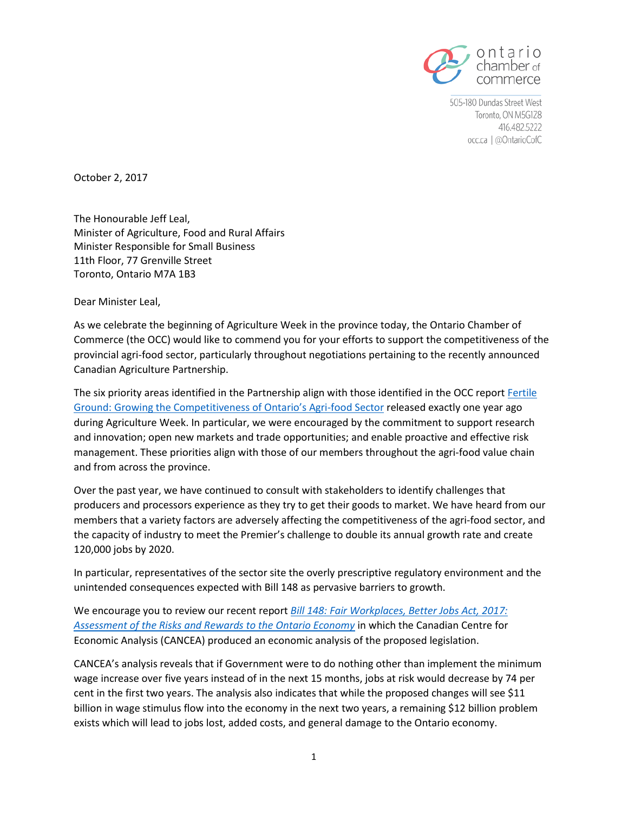

505-180 Dundas Street West Toronto, ON M5G1Z8 416.482.5222 occ.ca | @OntarioCofC

October 2, 2017

The Honourable Jeff Leal, Minister of Agriculture, Food and Rural Affairs Minister Responsible for Small Business 11th Floor, 77 Grenville Street Toronto, Ontario M7A 1B3

Dear Minister Leal,

As we celebrate the beginning of Agriculture Week in the province today, the Ontario Chamber of Commerce (the OCC) would like to commend you for your efforts to support the competitiveness of the provincial agri-food sector, particularly throughout negotiations pertaining to the recently announced Canadian Agriculture Partnership.

The six priority areas identified in the Partnership align with those identified in the OCC report [Fertile](http://www.occ.ca/wp-content/uploads/2013/05/Fertile-Ground_Report.pdf)  [Ground: Growing the Competitiveness of Ontario's Agri](http://www.occ.ca/wp-content/uploads/2013/05/Fertile-Ground_Report.pdf)-food Sector released exactly one year ago during Agriculture Week. In particular, we were encouraged by the commitment to support research and innovation; open new markets and trade opportunities; and enable proactive and effective risk management. These priorities align with those of our members throughout the agri-food value chain and from across the province.

Over the past year, we have continued to consult with stakeholders to identify challenges that producers and processors experience as they try to get their goods to market. We have heard from our members that a variety factors are adversely affecting the competitiveness of the agri-food sector, and the capacity of industry to meet the Premier's challenge to double its annual growth rate and create 120,000 jobs by 2020.

In particular, representatives of the sector site the overly prescriptive regulatory environment and the unintended consequences expected with Bill 148 as pervasive barriers to growth.

We encourage you to review our recent report *[Bill 148: Fair Workplaces, Better Jobs Act, 2017:](http://www.occ.ca/wp-content/uploads/2013/05/Proposed-Changes-to-Ontarios-Employment-and-Labour-Laws-CANCEA-Final-September-2017.pdf)  [Assessment of the Risks and Rewards to the Ontario Economy](http://www.occ.ca/wp-content/uploads/2013/05/Proposed-Changes-to-Ontarios-Employment-and-Labour-Laws-CANCEA-Final-September-2017.pdf)* in which the Canadian Centre for Economic Analysis (CANCEA) produced an economic analysis of the proposed legislation.

CANCEA's analysis reveals that if Government were to do nothing other than implement the minimum wage increase over five years instead of in the next 15 months, jobs at risk would decrease by 74 per cent in the first two years. The analysis also indicates that while the proposed changes will see \$11 billion in wage stimulus flow into the economy in the next two years, a remaining \$12 billion problem exists which will lead to jobs lost, added costs, and general damage to the Ontario economy.